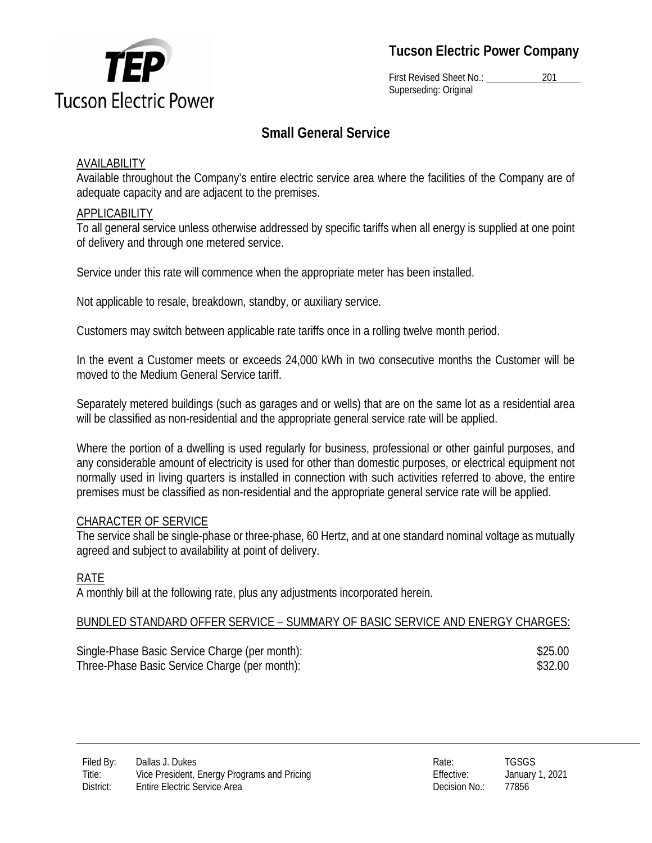

**Tucson Electric Power Company** 

First Revised Sheet No.: 201 Superseding: Original

# **Small General Service**

## **AVAILABILITY**

Available throughout the Company's entire electric service area where the facilities of the Company are of adequate capacity and are adjacent to the premises.

## APPLICABILITY

To all general service unless otherwise addressed by specific tariffs when all energy is supplied at one point of delivery and through one metered service.

Service under this rate will commence when the appropriate meter has been installed.

Not applicable to resale, breakdown, standby, or auxiliary service.

Customers may switch between applicable rate tariffs once in a rolling twelve month period.

In the event a Customer meets or exceeds 24,000 kWh in two consecutive months the Customer will be moved to the Medium General Service tariff.

Separately metered buildings (such as garages and or wells) that are on the same lot as a residential area will be classified as non-residential and the appropriate general service rate will be applied.

Where the portion of a dwelling is used regularly for business, professional or other gainful purposes, and any considerable amount of electricity is used for other than domestic purposes, or electrical equipment not normally used in living quarters is installed in connection with such activities referred to above, the entire premises must be classified as non-residential and the appropriate general service rate will be applied.

## CHARACTER OF SERVICE

The service shall be single-phase or three-phase, 60 Hertz, and at one standard nominal voltage as mutually agreed and subject to availability at point of delivery.

## RATE

A monthly bill at the following rate, plus any adjustments incorporated herein.

## BUNDLED STANDARD OFFER SERVICE – SUMMARY OF BASIC SERVICE AND ENERGY CHARGES:

| Single-Phase Basic Service Charge (per month): | \$25.00 |
|------------------------------------------------|---------|
| Three-Phase Basic Service Charge (per month):  | \$32.00 |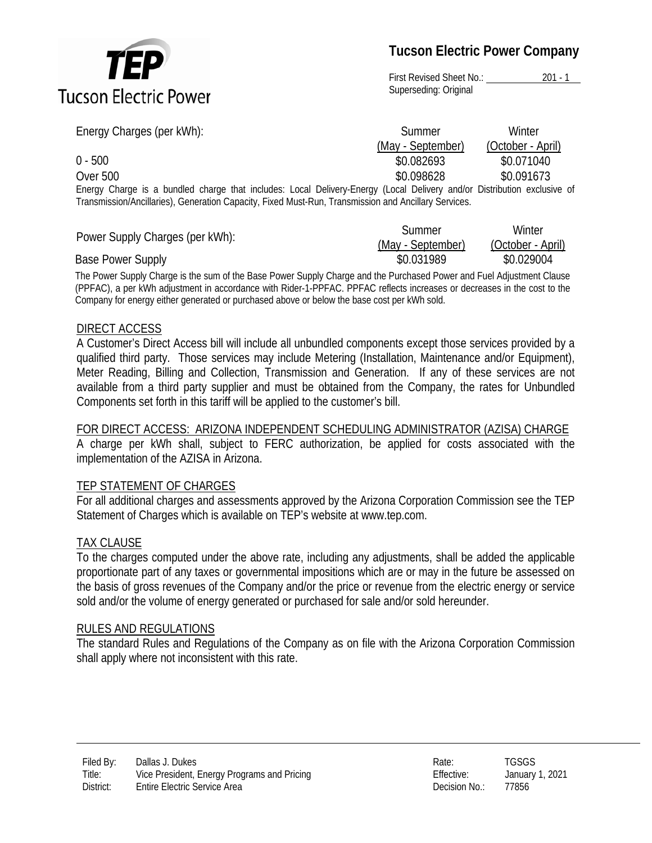

**Tucson Electric Power Company** 

First Revised Sheet No.: 201 - 1 Superseding: Original

| Energy Charges (per kWh):                                                                                               | Summer            | Winter            |
|-------------------------------------------------------------------------------------------------------------------------|-------------------|-------------------|
|                                                                                                                         | (May - September) | (October - April) |
| $0 - 500$                                                                                                               | \$0.082693        | \$0.071040        |
| Over 500                                                                                                                | \$0.098628        | \$0.091673        |
| Energy Charge is a bundled charge that includes: Local Delivery-Energy (Local Delivery and/or Distribution exclusive of |                   |                   |
| Transmission/Ancillaries), Generation Capacity, Fixed Must-Run, Transmission and Ancillary Services.                    |                   |                   |

|                                 | Summer            | Winter            |
|---------------------------------|-------------------|-------------------|
| Power Supply Charges (per kWh): | (May - September) | (October - April) |
| Base Power Supply               | \$0.031989        | \$0.029004        |

The Power Supply Charge is the sum of the Base Power Supply Charge and the Purchased Power and Fuel Adjustment Clause (PPFAC), a per kWh adjustment in accordance with Rider-1-PPFAC. PPFAC reflects increases or decreases in the cost to the Company for energy either generated or purchased above or below the base cost per kWh sold.

#### DIRECT ACCESS

A Customer's Direct Access bill will include all unbundled components except those services provided by a qualified third party. Those services may include Metering (Installation, Maintenance and/or Equipment), Meter Reading, Billing and Collection, Transmission and Generation. If any of these services are not available from a third party supplier and must be obtained from the Company, the rates for Unbundled Components set forth in this tariff will be applied to the customer's bill.

## FOR DIRECT ACCESS: ARIZONA INDEPENDENT SCHEDULING ADMINISTRATOR (AZISA) CHARGE

A charge per kWh shall, subject to FERC authorization, be applied for costs associated with the implementation of the AZISA in Arizona.

#### TEP STATEMENT OF CHARGES

For all additional charges and assessments approved by the Arizona Corporation Commission see the TEP Statement of Charges which is available on TEP's website at www.tep.com.

#### TAX CLAUSE

To the charges computed under the above rate, including any adjustments, shall be added the applicable proportionate part of any taxes or governmental impositions which are or may in the future be assessed on the basis of gross revenues of the Company and/or the price or revenue from the electric energy or service sold and/or the volume of energy generated or purchased for sale and/or sold hereunder.

#### RULES AND REGULATIONS

The standard Rules and Regulations of the Company as on file with the Arizona Corporation Commission shall apply where not inconsistent with this rate.